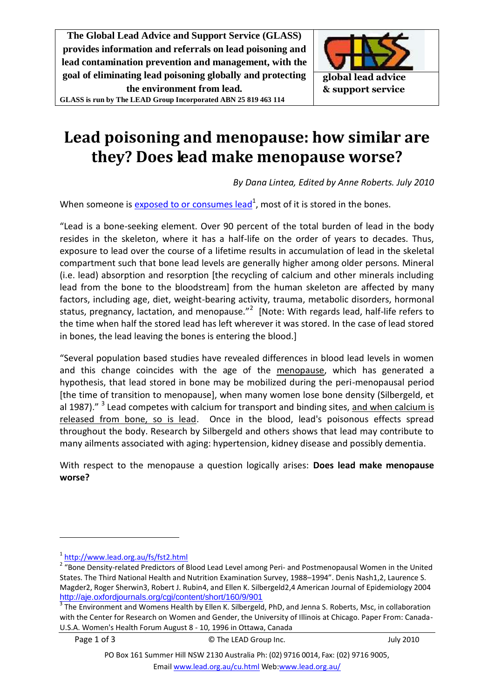**The Global Lead Advice and Support Service (GLASS) provides information and referrals on lead poisoning and lead contamination prevention and management, with the goal of eliminating lead poisoning globally and protecting the environment from lead.**

**GLASS is run by The LEAD Group Incorporated ABN 25 819 463 114**



## **Lead poisoning and menopause: how similar are they? Does lead make menopause worse?**

<span id="page-0-0"></span>*By Dana Lintea, Edited by Anne Roberts. July 2010*

When someone is  $exposed$  to or consumes lead</u><sup>1</sup>, most of it is stored in the bones.

"Lead is a bone-seeking element. Over 90 percent of the total burden of lead in the body resides in the skeleton, where it has a half-life on the order of years to decades. Thus, exposure to lead over the course of a lifetime results in accumulation of lead in the skeletal compartment such that bone lead levels are generally higher among older persons. Mineral (i.e. lead) absorption and resorption [the recycling of calcium and other minerals including lead from the bone to the bloodstream] from the human skeleton are affected by many factors, including age, diet, weight-bearing activity, trauma, metabolic disorders, hormonal status, pregnancy, lactation, and menopause."<sup>2</sup> [Note: With regards lead, half-life refers to the time when half the stored lead has left wherever it was stored. In the case of lead stored in bones, the lead leaving the bones is entering the blood.]

"Several population based studies have revealed differences in blood lead levels in women and this change coincides with the age of the menopause, which has generated a hypothesis, that lead stored in bone may be mobilized during the peri-menopausal period [the time of transition to menopause], when many women lose bone density (Silbergeld, et al 1987)." <sup>3</sup> Lead competes with calcium for transport and binding sites, and when calcium is released from bone, so is lead. Once in the blood, lead's poisonous effects spread throughout the body. Research by Silbergeld and others shows that lead may contribute to many ailments associated with aging: hypertension, kidney disease and possibly dementia.

With respect to the menopause a question logically arises: **Does lead make menopause worse?**

1

Page 1 of 3 Georgia Communication Communication Communication Communication Communication Communication Communication Communication Communication Communication Communication Communication Communication Communication Commun

<sup>1</sup> <http://www.lead.org.au/fs/fst2.html>

<sup>&</sup>lt;sup>2</sup> "Bone Density-related Predictors of Blood Lead Level among Peri- and Postmenopausal Women in the United States. The Third National Health and Nutrition Examination Survey, 1988–1994". Denis Nash1,2, Laurence S. Magder2, Roger Sherwin3, Robert J. Rubin4, and Ellen K. Silbergeld2,4 American Journal of Epidemiology 2004 <http://aje.oxfordjournals.org/cgi/content/short/160/9/901>

<sup>&</sup>lt;sup>3</sup> The Environment and Womens Health by Ellen K. Silbergeld, PhD, and Jenna S. Roberts, Msc, in collaboration with the Center for Research on Women and Gender, the University of Illinois at Chicago. Paper From: Canada-U.S.A. Women's Health Forum August 8 - 10, 1996 in Ottawa, Canada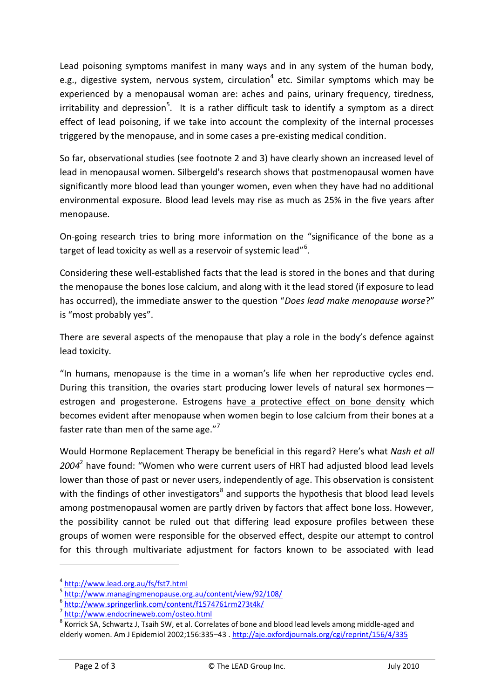Lead poisoning symptoms manifest in many ways and in any system of the human body, e.g., digestive system, nervous system, circulation<sup>4</sup> etc. Similar symptoms which may be experienced by a menopausal woman are: aches and pains, urinary frequency, tiredness, irritability and depression<sup>5</sup>. It is a rather difficult task to identify a symptom as a direct effect of lead poisoning, if we take into account the complexity of the internal processes triggered by the menopause, and in some cases a pre-existing medical condition.

So far, observational studies (see footnote 2 and 3) have clearly shown an increased level of lead in menopausal women. Silbergeld's research shows that postmenopausal women have significantly more blood lead than younger women, even when they have had no additional environmental exposure. Blood lead levels may rise as much as 25% in the five years after menopause.

On-going research tries to bring more information on the "significance of the bone as a target of lead toxicity as well as a reservoir of systemic lead"<sup>6</sup>.

Considering these well-established facts that the lead is stored in the bones and that during the menopause the bones lose calcium, and along with it the lead stored (if exposure to lead has occurred), the immediate answer to the question "*Does lead make menopause worse*?" is "most probably yes".

There are several aspects of the menopause that play a role in the body's defence against lead toxicity.

"In humans, menopause is the time in a woman's life when her reproductive cycles end. During this transition, the ovaries start producing lower levels of natural sex hormones estrogen and progesterone. Estrogens have a protective effect on bone density which becomes evident after menopause when women begin to lose calcium from their bones at a faster rate than men of the same age. $n^7$ 

Would Hormone Replacement Therapy be beneficial in this regard? Here's what *Nash et all 2004*[2](#page-0-0) have found: "Women who were current users of HRT had adjusted blood lead levels lower than those of past or never users, independently of age. This observation is consistent with the findings of other investigators<sup>8</sup> and supports the hypothesis that blood lead levels among postmenopausal women are partly driven by factors that affect bone loss. However, the possibility cannot be ruled out that differing lead exposure profiles between these groups of women were responsible for the observed effect, despite our attempt to control for this through multivariate adjustment for factors known to be associated with lead

1

<sup>4</sup> <http://www.lead.org.au/fs/fst7.html>

<sup>5</sup> <http://www.managingmenopause.org.au/content/view/92/108/>

<sup>6</sup> <http://www.springerlink.com/content/f1574761rm273t4k/>

<sup>7</sup> <http://www.endocrineweb.com/osteo.html>

<sup>&</sup>lt;sup>8</sup> Korrick SA, Schwartz J, Tsaih SW, et al. Correlates of bone and blood lead levels among middle-aged and elderly women. Am J Epidemiol 2002;156:335–43 .<http://aje.oxfordjournals.org/cgi/reprint/156/4/335>